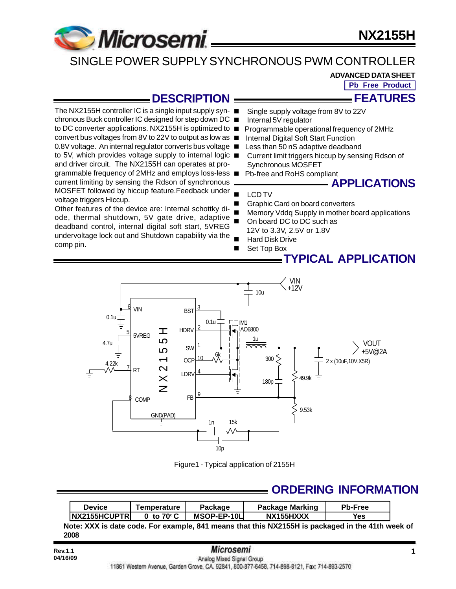

## SINGLE POWER SUPPLY SYNCHRONOUS PWM CONTROLLER

**ADVANCED DATA SHEET**

**Pb Free Product**

**FEATURES**

### **DESCRIPTION**

The NX2155H controller IC is a single input supply syn- ■ chronous Buck controller IC designed for step down DC to DC converter applications. NX2155H is optimized to ■ convert bus voltages from 8V to 22V to output as low as 0.8V voltage. An internal regulator converts bus voltage ■ to 5V, which provides voltage supply to internal logic ■ and driver circuit. The NX2155H can operates at programmable frequency of 2MHz and employs loss-less ■ current limiting by sensing the Rdson of synchronous MOSFET followed by hiccup feature.Feedback under voltage triggers Hiccup.

Other features of the device are: Internal schottky diode, thermal shutdown, 5V gate drive, adaptive deadband control, internal digital soft start, 5VREG undervoltage lock out and Shutdown capability via the comp pin.

- Single supply voltage from 8V to 22V
- Internal 5V regulator
- Programmable operational frequency of 2MHz
- Internal Digital Soft Start Function
- Less than 50 nS adaptive deadband
- Current limit triggers hiccup by sensing Rdson of Synchronous MOSFET
- Pb-free and RoHS compliant

## **APPLICATIONS**

- LCD TV
- Graphic Card on board converters
- Memory Vddq Supply in mother board applications
- On board DC to DC such as 12V to 3.3V, 2.5V or 1.8V
- **Hard Disk Drive**
- Set Top Box

### **TYPICAL APPLICATION**



Figure1 - Typical application of 2155H

## **ORDERING INFORMATION**

| Device                | Temperature         | Package     | <b>Package Marking</b> | <b>Pb-Free</b> |
|-----------------------|---------------------|-------------|------------------------|----------------|
| <b>INX2155HCUPTRI</b> | 0 to $70^{\circ}$ C | MSOP-EP-10L | NX155HXXX              | Yes            |

**Note: XXX is date code. For example, 841 means that this NX2155H is packaged in the 41th week of 2008**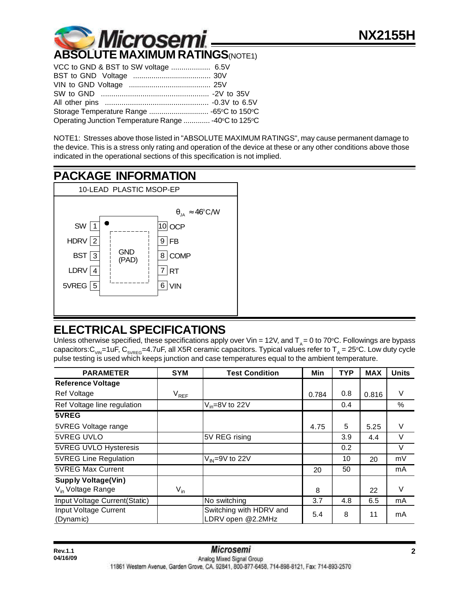

| Storage Temperature Range  -65°C to 150°C            |  |
|------------------------------------------------------|--|
| Operating Junction Temperature Range  -40°C to 125°C |  |

NOTE1: Stresses above those listed in "ABSOLUTE MAXIMUM RATINGS", may cause permanent damage to the device. This is a stress only rating and operation of the device at these or any other conditions above those indicated in the operational sections of this specification is not implied.



## **ELECTRICAL SPECIFICATIONS**

Unless otherwise specified, these specifications apply over Vin = 12V, and  $T_A = 0$  to 70°C. Followings are bypass capacitors: $\rm C_{_{VIN}}$ =1uF, C $\rm _{_{SVREG}}$ =4.7uF, all X5R ceramic capacitors. Typical values refer to T $_{_A}$  = 25°C. Low duty cycle pulse testing is used which keeps junction and case temperatures equal to the ambient temperature.

| <b>PARAMETER</b>                   | <b>SYM</b>    | <b>Test Condition</b>                        | Min   | <b>TYP</b> | <b>MAX</b> | <b>Units</b> |
|------------------------------------|---------------|----------------------------------------------|-------|------------|------------|--------------|
| <b>Reference Voltage</b>           |               |                                              |       |            |            |              |
| Ref Voltage                        | $\rm V_{REF}$ |                                              | 0.784 | 0.8        | 0.816      | V            |
| Ref Voltage line regulation        |               | $V_{in} = 8V$ to 22V                         |       | 0.4        |            | $\%$         |
| 5VREG                              |               |                                              |       |            |            |              |
| 5VREG Voltage range                |               |                                              | 4.75  | 5          | 5.25       | V            |
| 5VREG UVLO                         |               | 5V REG rising                                |       | 3.9        | 4.4        | V            |
| 5VREG UVLO Hysteresis              |               |                                              |       | 0.2        |            | V            |
| <b>5VREG Line Regulation</b>       |               | $V_{IN} = 9V$ to 22V                         |       | 10         | 20         | mV           |
| <b>5VREG Max Current</b>           |               |                                              | 20    | 50         |            | mA           |
| <b>Supply Voltage(Vin)</b>         |               |                                              |       |            |            |              |
| V <sub>in</sub> Voltage Range      | $V_{in}$      |                                              | 8     |            | 22         | $\vee$       |
| Input Voltage Current(Static)      |               | No switching                                 | 3.7   | 4.8        | 6.5        | mA           |
| Input Voltage Current<br>(Dynamic) |               | Switching with HDRV and<br>LDRV open @2.2MHz | 5.4   | 8          | 11         | mA           |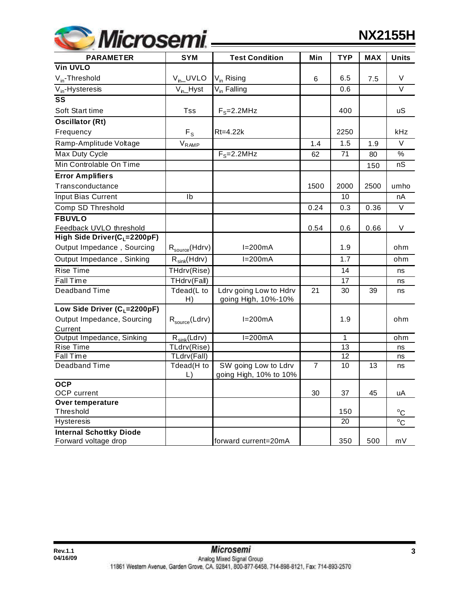| <b><i>Microsemi</i></b> |  |
|-------------------------|--|
|                         |  |

| <b>PARAMETER</b>                                       | <b>SYM</b>                 | <b>Test Condition</b>                          | Min            | <b>TYP</b> | <b>MAX</b> | <b>Units</b> |
|--------------------------------------------------------|----------------------------|------------------------------------------------|----------------|------------|------------|--------------|
| <b>Vin UVLO</b>                                        |                            |                                                |                |            |            |              |
| $V_{in}$ -Threshold                                    | $V_{in}$ UVLO              | V <sub>in</sub> Rising                         | 6              | 6.5        | 7.5        | V            |
| $V_{in}$ -Hysteresis                                   | $V_{n}$ -Hyst              | V <sub>in</sub> Falling                        |                | 0.6        |            | $\vee$       |
| SS                                                     |                            |                                                |                |            |            |              |
| Soft Start time                                        | Tss                        | $F_S = 2.2$ MHz                                |                | 400        |            | uS           |
| <b>Oscillator (Rt)</b>                                 |                            |                                                |                |            |            |              |
| Frequency                                              | $F_S$                      | Rt=4.22k                                       |                | 2250       |            | kHz          |
| Ramp-Amplitude Voltage                                 | $\rm V_{RAMP}$             |                                                | 1.4            | 1.5        | 1.9        | $\vee$       |
| Max Duty Cycle                                         |                            | $F_S = 2.2$ MHz                                | 62             | 71         | 80         | $\%$         |
| Min Controlable On Time                                |                            |                                                |                |            | 150        | nS           |
| <b>Error Amplifiers</b>                                |                            |                                                |                |            |            |              |
| Transconductance                                       |                            |                                                | 1500           | 2000       | 2500       | umho         |
| Input Bias Current                                     | Ib                         |                                                |                | 10         |            | nA           |
| Comp SD Threshold                                      |                            |                                                | 0.24           | 0.3        | 0.36       | V            |
| <b>FBUVLO</b>                                          |                            |                                                |                |            |            |              |
| Feedback UVLO threshold                                |                            |                                                | 0.54           | 0.6        | 0.66       | V            |
| High Side Driver(C <sub>L</sub> =2200pF)               |                            |                                                |                |            |            |              |
| Output Impedance, Sourcing                             | $R_{\text{source}}(Hdrv)$  | $I=200mA$                                      |                | 1.9        |            | ohm          |
| Output Impedance, Sinking                              | $R_{sink}(Hdrv)$           | $I=200mA$                                      |                | 1.7        |            | ohm          |
| <b>Rise Time</b>                                       | THdrv(Rise)                |                                                |                | 14         |            | ns           |
| <b>Fall Time</b>                                       | THdrv(Fall)                |                                                |                | 17         |            | ns           |
| Deadband Time                                          | Tdead(L to<br>H)           | Ldrv going Low to Hdrv<br>going High, 10%-10%  | 21             | 30         | 39         | ns           |
| Low Side Driver ( $C_1$ =2200pF)                       |                            |                                                |                |            |            |              |
| Output Impedance, Sourcing<br>Current                  | $R_{\text{source}}(Ldrv)$  | $I=200mA$                                      |                | 1.9        |            | ohm          |
| Output Impedance, Sinking                              | $R_{sink}(Ldrv)$           | $I=200mA$                                      |                | 1          |            | ohm          |
| Rise Time                                              | TLdrv(Rise)                |                                                |                | 13         |            | ns           |
| Fall Time                                              | TLdrv(Fall)                |                                                |                | 12         |            | ns           |
| <b>Deadband Time</b>                                   | Tdead(H to<br>$\mathsf{L}$ | SW going Low to Ldrv<br>going High, 10% to 10% | $\overline{7}$ | 10         | 13         | ns           |
| <b>OCP</b><br><b>OCP</b> current                       |                            |                                                | 30             | 37         | 45         | uA           |
| Over temperature<br>Threshold                          |                            |                                                |                | 150        |            | $^{\circ}C$  |
| Hysteresis                                             |                            |                                                |                | 20         |            | $^{\circ}$ C |
| <b>Internal Schottky Diode</b><br>Forward voltage drop |                            | forward current=20mA                           |                | 350        | 500        | mV           |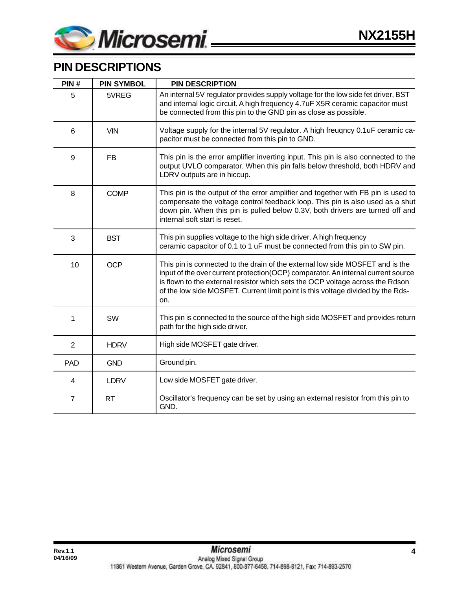

## **PIN DESCRIPTIONS**

| PIN#           | <b>PIN SYMBOL</b> | <b>PIN DESCRIPTION</b>                                                                                                                                                                                                                                                                                                                       |  |  |
|----------------|-------------------|----------------------------------------------------------------------------------------------------------------------------------------------------------------------------------------------------------------------------------------------------------------------------------------------------------------------------------------------|--|--|
| 5              | 5VREG             | An internal 5V regulator provides supply voltage for the low side fet driver, BST<br>and internal logic circuit. A high frequency 4.7uF X5R ceramic capacitor must<br>be connected from this pin to the GND pin as close as possible.                                                                                                        |  |  |
| 6              | <b>VIN</b>        | Voltage supply for the internal 5V regulator. A high freugncy 0.1uF ceramic ca-<br>pacitor must be connected from this pin to GND.                                                                                                                                                                                                           |  |  |
| 9              | <b>FB</b>         | This pin is the error amplifier inverting input. This pin is also connected to the<br>output UVLO comparator. When this pin falls below threshold, both HDRV and<br>LDRV outputs are in hiccup.                                                                                                                                              |  |  |
| 8              | <b>COMP</b>       | This pin is the output of the error amplifier and together with FB pin is used to<br>compensate the voltage control feedback loop. This pin is also used as a shut<br>down pin. When this pin is pulled below 0.3V, both drivers are turned off and<br>internal soft start is reset.                                                         |  |  |
| 3              | <b>BST</b>        | This pin supplies voltage to the high side driver. A high frequency<br>ceramic capacitor of 0.1 to 1 uF must be connected from this pin to SW pin.                                                                                                                                                                                           |  |  |
| 10             | <b>OCP</b>        | This pin is connected to the drain of the external low side MOSFET and is the<br>input of the over current protection(OCP) comparator. An internal current source<br>is flown to the external resistor which sets the OCP voltage across the Rdson<br>of the low side MOSFET. Current limit point is this voltage divided by the Rds-<br>on. |  |  |
| 1              | SW                | This pin is connected to the source of the high side MOSFET and provides return<br>path for the high side driver.                                                                                                                                                                                                                            |  |  |
| $\overline{2}$ | <b>HDRV</b>       | High side MOSFET gate driver.                                                                                                                                                                                                                                                                                                                |  |  |
| <b>PAD</b>     | <b>GND</b>        | Ground pin.                                                                                                                                                                                                                                                                                                                                  |  |  |
| 4              | <b>LDRV</b>       | Low side MOSFET gate driver.                                                                                                                                                                                                                                                                                                                 |  |  |
| $\overline{7}$ | <b>RT</b>         | Oscillator's frequency can be set by using an external resistor from this pin to<br>GND.                                                                                                                                                                                                                                                     |  |  |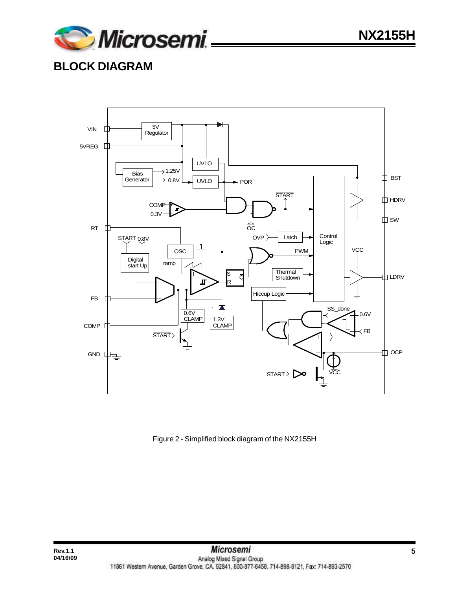

## **BLOCK DIAGRAM**

**04/16/09**



#### Figure 2 - Simplified block diagram of the NX2155H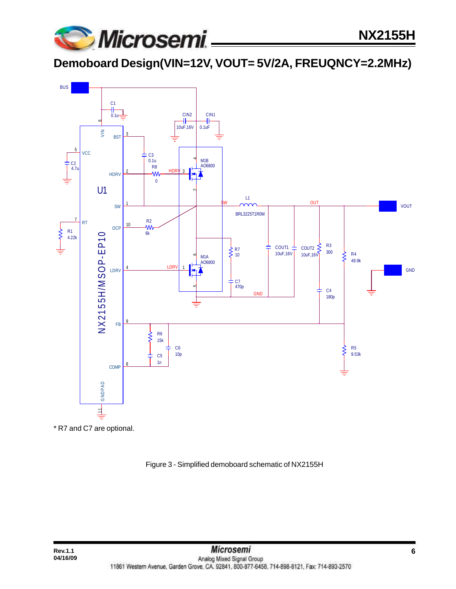

**Demoboard Design(VIN=12V, VOUT= 5V/2A, FREUQNCY=2.2MHz)**



\* R7 and C7 are optional.

Figure 3 - Simplified demoboard schematic of NX2155H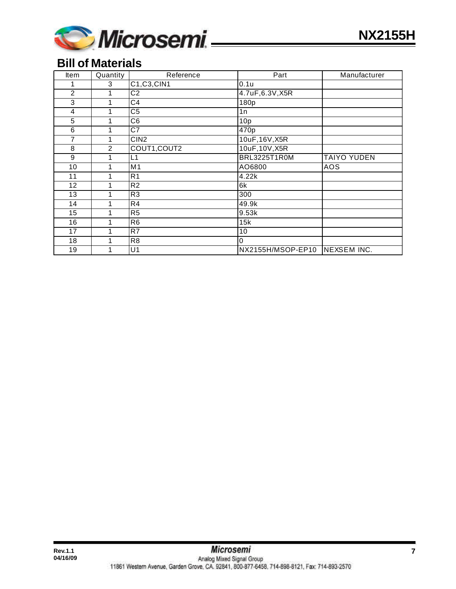

## **Bill of Materials**

| <b>Item</b>       | Quantity | Reference       | Part              | Manufacturer       |
|-------------------|----------|-----------------|-------------------|--------------------|
|                   | 3        | C1, C3, CIN1    | 0.1u              |                    |
| $\overline{2}$    | 1        | $\overline{C2}$ | 4.7uF, 6.3V, X5R  |                    |
| 3                 | 1        | C <sub>4</sub>  | 180p              |                    |
| 4                 | 1        | C <sub>5</sub>  | 1n                |                    |
| 5                 | 1        | C <sub>6</sub>  | 10p               |                    |
| 6                 |          | C7              | 470 <sub>p</sub>  |                    |
| 7                 |          | CIN2            | 10uF, 16V, X5R    |                    |
| 8                 | 2        | COUT1, COUT2    | 10uF, 10V, X5R    |                    |
| 9                 |          | L1              | BRL3225T1R0M      | <b>TAIYO YUDEN</b> |
| 10                |          | M1              | AO6800            | AOS                |
| 11                |          | R <sub>1</sub>  | 4.22k             |                    |
| $12 \overline{ }$ |          | R <sub>2</sub>  | 6k                |                    |
| 13                |          | R <sub>3</sub>  | 300               |                    |
| 14                |          | R4              | 49.9k             |                    |
| 15                |          | $\overline{R5}$ | 9.53k             |                    |
| 16                |          | R <sub>6</sub>  | 15k               |                    |
| 17                |          | R7              | 10                |                    |
| 18                |          | R <sub>8</sub>  | $\Omega$          |                    |
| 19                |          | U <sub>1</sub>  | NX2155H/MSOP-EP10 | NEXSEM INC.        |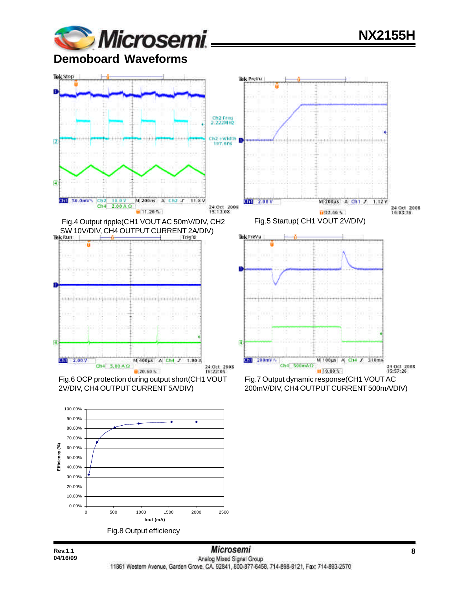

# **NX2155H**

**Demoboard Waveforms**



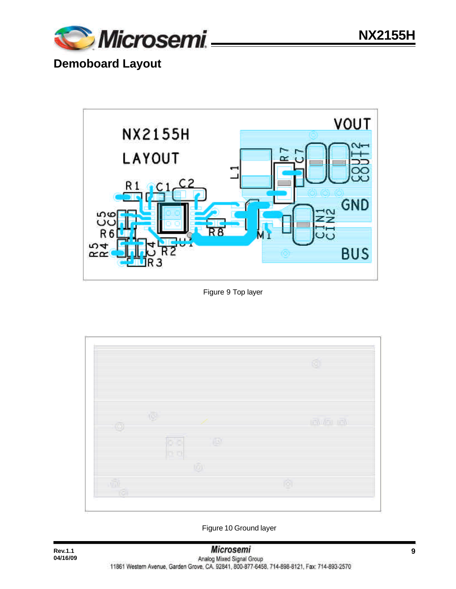

# **Demoboard Layout**



#### Figure 9 Top layer



Figure 10 Ground layer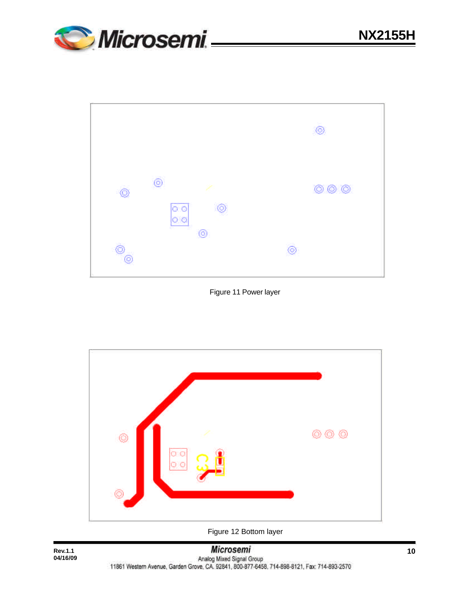



Figure 11 Power layer



Figure 12 Bottom layer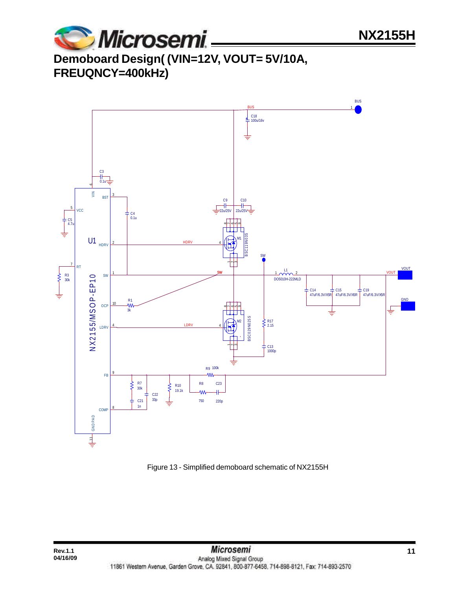

# **Demoboard Design( (VIN=12V, VOUT= 5V/10A, FREUQNCY=400kHz)**



Figure 13 - Simplified demoboard schematic of NX2155H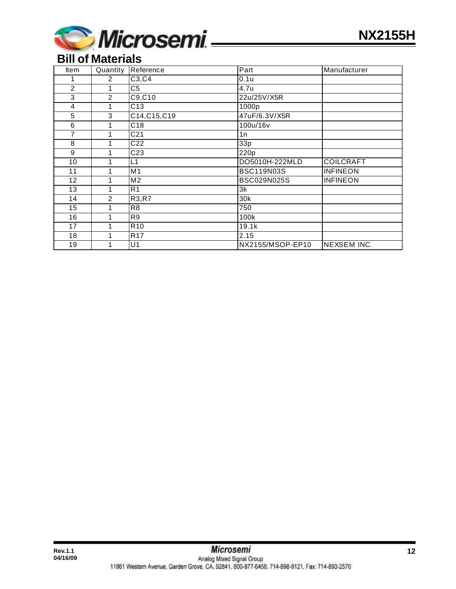

### **Bill of Materials**

| Item           | Quantity       | Reference       | Part              | Manufacturer       |
|----------------|----------------|-----------------|-------------------|--------------------|
|                | $\overline{2}$ | C3, C4          | 0.1u              |                    |
| $\overline{2}$ | 1              | C <sub>5</sub>  | 4.7u              |                    |
| $\overline{3}$ | $\overline{2}$ | C9, C10         | 22u/25V/X5R       |                    |
| 4              | 1              | C13             | 1000p             |                    |
| 5              | 3              | C14, C15, C19   | 47uF/6.3V/X5R     |                    |
| 6              | 1              | C18             | 100u/16v          |                    |
| 7              | 1              | C <sub>21</sub> | 1n                |                    |
| 8              |                | C <sub>22</sub> | 33p               |                    |
| 9              |                | C <sub>23</sub> | 220p              |                    |
| 10             |                | L1              | DO5010H-222MLD    | <b>COILCRAFT</b>   |
| 11             |                | M <sub>1</sub>  | <b>BSC119N03S</b> | <b>INFINEON</b>    |
| 12             |                | M <sub>2</sub>  | BSC029N025S       | <b>INFINEON</b>    |
| 13             |                | R <sub>1</sub>  | 3k                |                    |
| 14             | 2              | R3, R7          | 30k               |                    |
| 15             |                | R <sub>8</sub>  | 750               |                    |
| 16             |                | R9              | 100k              |                    |
| 17             |                | R <sub>10</sub> | 19.1k             |                    |
| 18             |                | R <sub>17</sub> | 2.15              |                    |
| 19             |                | U1              | NX2155/MSOP-EP10  | <b>NEXSEM INC.</b> |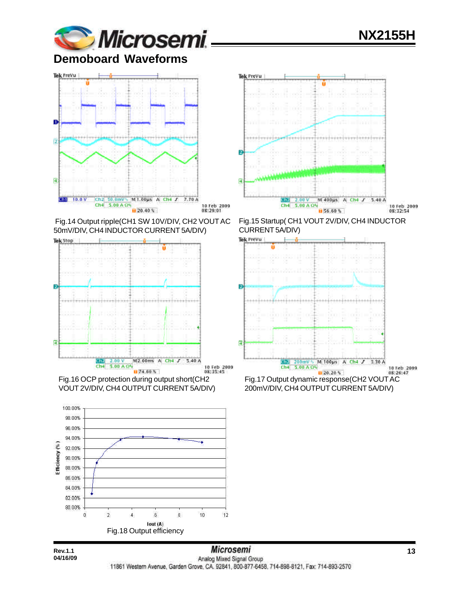# **NX2155H**



**Demoboard Waveforms**





Tek PreVu

 Fig.14 Output ripple(CH1 SW 10V/DIV, CH2 VOUT AC 50mV/DIV, CH4 INDUCTOR CURRENT 5A/DIV)



Fig.16 OCP protection during output short(CH2 VOUT 2V/DIV, CH4 OUTPUT CURRENT 5A/DIV)



Fig.15 Startup( CH1 VOUT 2V/DIV, CH4 INDUCTOR CURRENT 5A/DIV)



200mV/DIV, CH4 OUTPUT CURRENT 5A/DIV)

**04/16/09**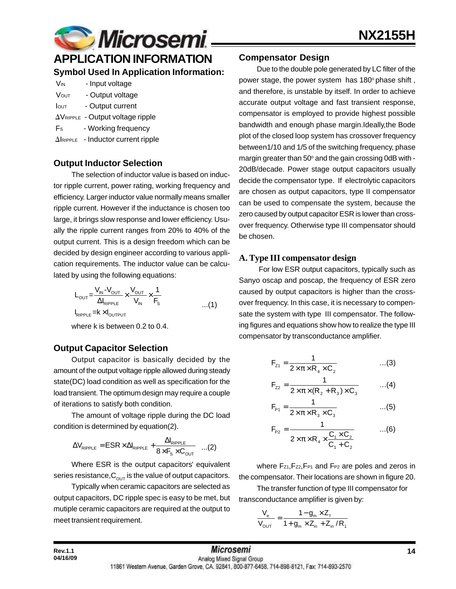

# **APPLICATION INFORMATION**

### **Symbol Used In Application Information:**

| V <sub>IN</sub> | - Input voltage                                    |
|-----------------|----------------------------------------------------|
| <b>VOUT</b>     | - Output voltage                                   |
| <b>I</b> out    | - Output current                                   |
|                 | $\Delta V_{\text{RIPPLE}}$ - Output voltage ripple |

- F<sub>s</sub> Working frequency
- $\Delta$ IRIPPLE Inductor current ripple

### **Output Inductor Selection**

The selection of inductor value is based on inductor ripple current, power rating, working frequency and efficiency. Larger inductor value normally means smaller ripple current. However if the inductance is chosen too large, it brings slow response and lower efficiency. Usually the ripple current ranges from 20% to 40% of the output current. This is a design freedom which can be decided by design engineer according to various application requirements. The inductor value can be calculated by using the following equations:

$$
L_{OUT} = \frac{V_{IN} - V_{OUT}}{\Delta I_{RIPPLE}} \times \frac{V_{OUT}}{V_{IN}} \times \frac{1}{F_s}
$$
...(1)  

$$
I_{RIPPLE} = k \times I_{OUTPUT}
$$

where k is between 0.2 to 0.4.

### **Output Capacitor Selection**

Output capacitor is basically decided by the amount of the output voltage ripple allowed during steady state(DC) load condition as well as specification for the load transient. The optimum design may require a couple of iterations to satisfy both condition.

The amount of voltage ripple during the DC load condition is determined by equation(2).

$$
\Delta V_{\text{RIPPLE}} = \text{ESR} \times \Delta I_{\text{RIPPLE}} + \frac{\Delta I_{\text{RIPPLE}}}{8 \times F_{\text{s}} \times C_{\text{OUT}}} \quad ...(2)
$$

Where ESR is the output capacitors' equivalent series resistance,  $C_{\text{out}}$  is the value of output capacitors.

Typically when ceramic capacitors are selected as output capacitors, DC ripple spec is easy to be met, but mutiple ceramic capacitors are required at the output to meet transient requirement.

#### **Compensator Design**

Due to the double pole generated by LC filter of the power stage, the power system has 180° phase shift, and therefore, is unstable by itself. In order to achieve accurate output voltage and fast transient response, compensator is employed to provide highest possible bandwidth and enough phase margin.Ideally,the Bode plot of the closed loop system has crossover frequency between1/10 and 1/5 of the switching frequency, phase margin greater than 50 $^{\circ}$  and the gain crossing 0dB with -20dB/decade. Power stage output capacitors usually decide the compensator type. If electrolytic capacitors are chosen as output capacitors, type II compensator can be used to compensate the system, because the zero caused by output capacitor ESR is lower than crossover frequency. Otherwise type III compensator should be chosen.

### **A. Type III compensator design**

 For low ESR output capacitors, typically such as Sanyo oscap and poscap, the frequency of ESR zero caused by output capacitors is higher than the crossover frequency. In this case, it is necessary to compensate the system with type III compensator. The following figures and equations show how to realize the type III compensator by transconductance amplifier.

$$
F_{z_1} = \frac{1}{2 \times \pi \times R_4 \times C_2}
$$
...(3)

$$
F_{z2} = \frac{1}{2 \times \pi \times (R_2 + R_3) \times C_3}
$$
 ...(4)

$$
F_{p_1} = \frac{1}{2 \times \pi \times R_3 \times C_3}
$$
...(5)

$$
F_{p_2} = \frac{1}{2 \times \pi \times R_4 \times \frac{C_1 \times C_2}{C_1 + C_2}} \qquad ...(6)
$$

where Fz1, Fz2, FP1 and FP2 are poles and zeros in the compensator. Their locations are shown in figure 20.

The transfer function of type III compensator for transconductance amplifier is given by:

$$
\frac{V_{e}}{V_{\text{OUT}}} = \frac{1 - g_{m} \times Z_{f}}{1 + g_{m} \times Z_{in} + Z_{in} / R_{1}}
$$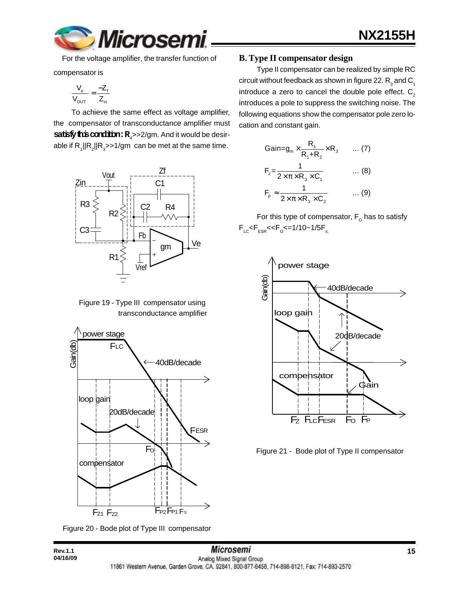

For the voltage amplifier, the transfer function of

compensator is

$$
\frac{V_e}{V_{OUT}} = \frac{-Z_f}{Z_{in}}
$$

To achieve the same effect as voltage amplifier, the compensator of transconductance amplifier must **satisfy this condition:**  $R_4$ >>2/gm. And it would be desirable if  $\mathsf{R}_i||\mathsf{R}_2||\mathsf{R}_3$ >>1/gm  $\,$  can be met at the same time.



 Figure 19 - Type III compensator using transconductance amplifier



Figure 20 - Bode plot of Type III compensator

**04/16/09**

#### **B. Type II compensator design**

Type II compensator can be realized by simple RC circuit without feedback as shown in figure 22.  $\mathsf{R}_{_{\mathsf{3}}}$  and  $\mathsf{C}_{_{\mathsf{1}}}$ introduce a zero to cancel the double pole effect.  $C_2$ introduces a pole to suppress the switching noise. The following equations show the compensator pole zero location and constant gain.

Gain=g<sub>m</sub> × 
$$
\frac{R_1}{R_1+R_2}
$$
 × R<sub>3</sub> ... (7)  
\n
$$
F_z = \frac{1}{2 \times \pi \times R_3 \times C_1}
$$
 ... (8)  
\n
$$
F_p \approx \frac{1}{2 \times \pi \times R_3 \times C_2}
$$
 ... (9)

For this type of compensator,  $\mathsf{F}_\mathsf{o}$  has to satisfy  $\mathsf{F}_{\text{\tiny{LC}}}$ < $\mathsf{F}_{\text{\tiny{ESR}}}$ << $\mathsf{F}_{\text{\tiny{O}}}$ <=1/10~1/5 $\mathsf{F}_{\text{\tiny{s.}}}$ 



Figure 21 - Bode plot of Type II compensator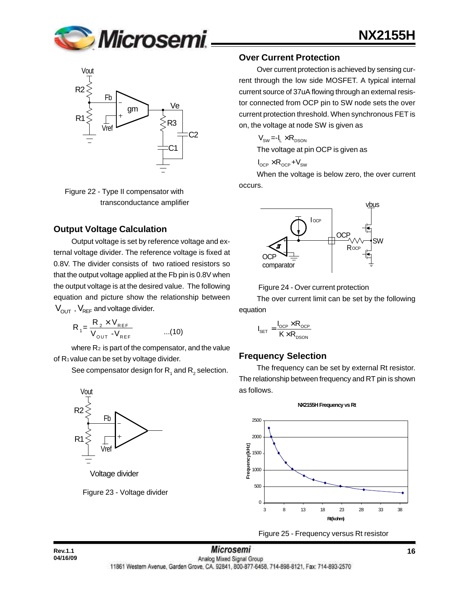



 Figure 22 - Type II compensator with transconductance amplifier

### **Output Voltage Calculation**

Output voltage is set by reference voltage and external voltage divider. The reference voltage is fixed at 0.8V. The divider consists of two ratioed resistors so that the output voltage applied at the Fb pin is 0.8V when the output voltage is at the desired value. The following equation and picture show the relationship between  $V_{\text{OUT}}$ ,  $V_{\text{REF}}$  and voltage divider.

$$
R_{1} = \frac{R_{2} \times V_{REF}}{V_{OUT} - V_{REF}} \qquad ...(10)
$$

where  $R_2$  is part of the compensator, and the value of R1 value can be set by voltage divider.

See compensator design for  $\mathsf{R}_{_{1}}$  and  $\mathsf{R}_{_{2}}$  selection.



#### **Over Current Protection**

Over current protection is achieved by sensing current through the low side MOSFET. A typical internal current source of 37uA flowing through an external resistor connected from OCP pin to SW node sets the over current protection threshold. When synchronous FET is on, the voltage at node SW is given as

**NX2155H**

$$
V_{\rm SW} = -I_{L} \times R_{\rm DSON}
$$

The voltage at pin OCP is given as

$$
I_{\text{OCP}} \times R_{\text{OCP}} + V_{\text{SW}}
$$

When the voltage is below zero, the over current occurs.



Figure 24 - Over current protection

The over current limit can be set by the following equation

$$
I_{\text{SET}} = \frac{I_{\text{OCP}} \times R_{\text{OCP}}}{K \times R_{\text{DSON}}}
$$

#### **Frequency Selection**

The frequency can be set by external Rt resistor. The relationship between frequency and RT pin is shown as follows.



#### Figure 25 - Frequency versus Rt resistor

**NX2155H Frequency vs Rt**

**04/16/09**

**Rev.1.1 16 16** *MICrosemI* **16** *MICROSEMI* **16 16** 11861 Western Avenue, Garden Grove, CA. 92841, 800-877-6458, 714-898-8121, Fax: 714-893-2570